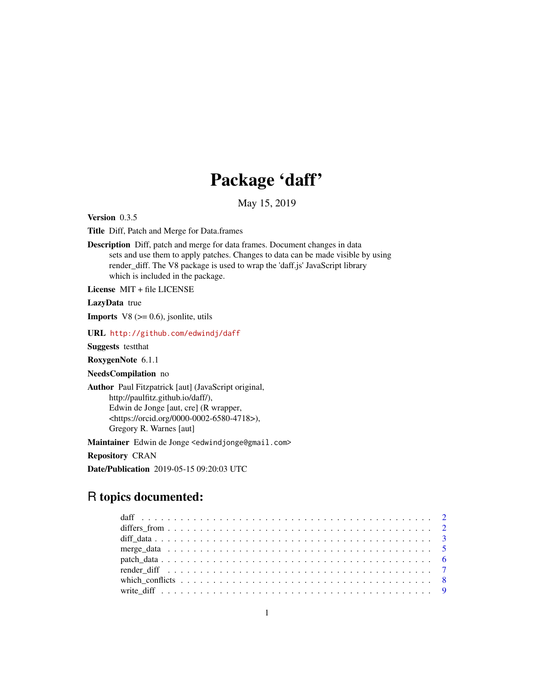## Package 'daff'

May 15, 2019

Version 0.3.5

Title Diff, Patch and Merge for Data.frames

Description Diff, patch and merge for data frames. Document changes in data sets and use them to apply patches. Changes to data can be made visible by using render\_diff. The V8 package is used to wrap the 'daff.js' JavaScript library which is included in the package.

License MIT + file LICENSE

LazyData true

**Imports** V8  $(>= 0.6)$ , jsonlite, utils

URL <http://github.com/edwindj/daff>

Suggests testthat

RoxygenNote 6.1.1

NeedsCompilation no

Author Paul Fitzpatrick [aut] (JavaScript original, http://paulfitz.github.io/daff/), Edwin de Jonge [aut, cre] (R wrapper, <https://orcid.org/0000-0002-6580-4718>), Gregory R. Warnes [aut]

Maintainer Edwin de Jonge <edwindjonge@gmail.com>

Repository CRAN

Date/Publication 2019-05-15 09:20:03 UTC

### R topics documented: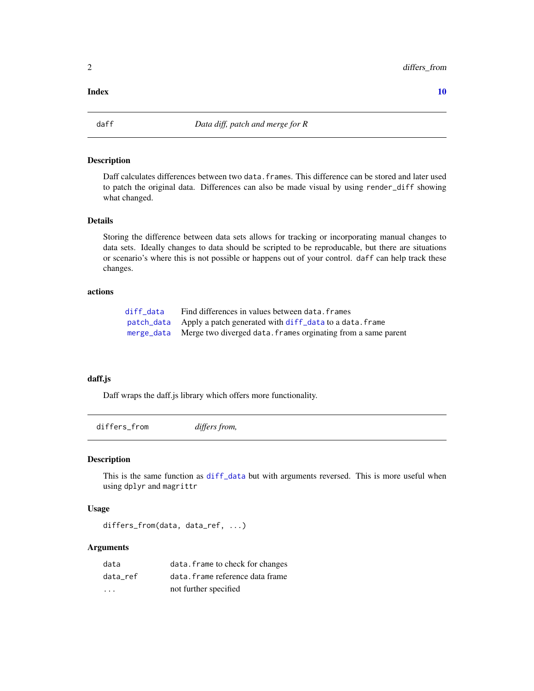#### <span id="page-1-0"></span> $\blacksquare$

daff *Data diff, patch and merge for R*

#### Description

Daff calculates differences between two data.frames. This difference can be stored and later used to patch the original data. Differences can also be made visual by using render\_diff showing what changed.

#### Details

Storing the difference between data sets allows for tracking or incorporating manual changes to data sets. Ideally changes to data should be scripted to be reproducable, but there are situations or scenario's where this is not possible or happens out of your control. daff can help track these changes.

#### actions

| diff data | Find differences in values between data. frames                          |
|-----------|--------------------------------------------------------------------------|
|           | patch_data Apply a patch generated with diff_data to a data. frame       |
|           | merge_data Merge two diverged data. frames orginating from a same parent |

#### daff.js

Daff wraps the daff.js library which offers more functionality.

differs\_from *differs from,*

#### Description

This is the same function as [diff\\_data](#page-2-1) but with arguments reversed. This is more useful when using dplyr and magrittr

#### Usage

differs\_from(data, data\_ref, ...)

#### Arguments

| data     | data. frame to check for changes |
|----------|----------------------------------|
| data ref | data. frame reference data frame |
| .        | not further specified            |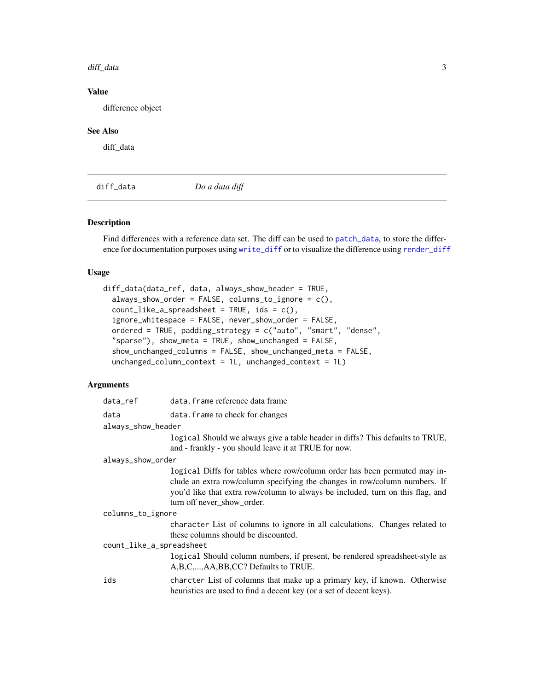#### <span id="page-2-0"></span>diff\_data 3

#### Value

difference object

#### See Also

diff data

<span id="page-2-1"></span>diff\_data *Do a data diff*

#### Description

Find differences with a reference data set. The diff can be used to [patch\\_data](#page-5-1), to store the difference for documentation purposes using [write\\_diff](#page-8-1) or to visualize the difference using [render\\_diff](#page-6-1)

#### Usage

```
diff_data(data_ref, data, always_show_header = TRUE,
  always\_show\_order = FALSE, columns_to\_ignore = c(),count\_like_a_spreadsheet = TRUE,ids = c(),ignore_whitespace = FALSE, never_show_order = FALSE,
  ordered = TRUE, padding_strategy = c("auto", "smart", "dense",
  "sparse"), show_meta = TRUE, show_unchanged = FALSE,
  show_unchanged_columns = FALSE, show_unchanged_meta = FALSE,
  unchanged_column_context = 1L, unchanged_context = 1L)
```
#### Arguments

| data_ref                 | data. frame reference data frame                                                                                                                                                                                                                                        |
|--------------------------|-------------------------------------------------------------------------------------------------------------------------------------------------------------------------------------------------------------------------------------------------------------------------|
| data                     | data. frame to check for changes                                                                                                                                                                                                                                        |
| always_show_header       |                                                                                                                                                                                                                                                                         |
|                          | logical Should we always give a table header in diffs? This defaults to TRUE,<br>and - frankly - you should leave it at TRUE for now.                                                                                                                                   |
| always_show_order        |                                                                                                                                                                                                                                                                         |
|                          | logical Diffs for tables where row/column order has been permuted may in-<br>clude an extra row/column specifying the changes in row/column numbers. If<br>you'd like that extra row/column to always be included, turn on this flag, and<br>turn off never_show_order. |
| columns_to_ignore        |                                                                                                                                                                                                                                                                         |
|                          | character List of columns to ignore in all calculations. Changes related to<br>these columns should be discounted.                                                                                                                                                      |
| count_like_a_spreadsheet |                                                                                                                                                                                                                                                                         |
|                          | logical Should column numbers, if present, be rendered spreadsheet-style as<br>A,B,C,,AA,BB,CC? Defaults to TRUE.                                                                                                                                                       |
| ids                      | charcter List of columns that make up a primary key, if known. Otherwise<br>heuristics are used to find a decent key (or a set of decent keys).                                                                                                                         |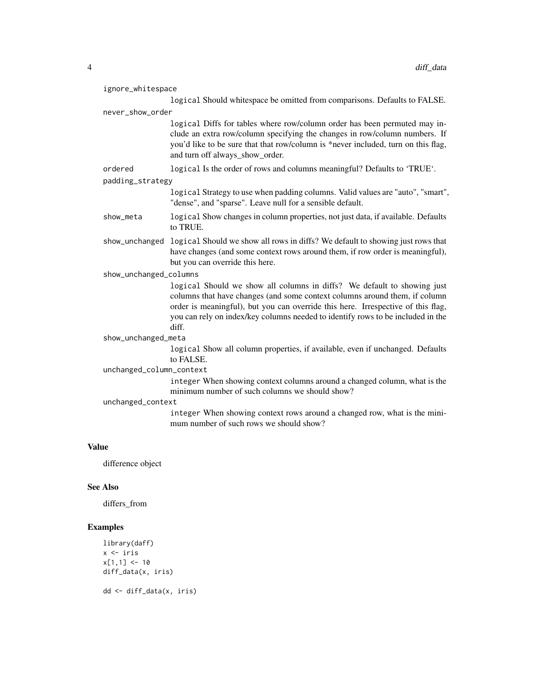| ignore_whitespace        |                   |                                                                                                                                                                                                                                                                                                                                       |
|--------------------------|-------------------|---------------------------------------------------------------------------------------------------------------------------------------------------------------------------------------------------------------------------------------------------------------------------------------------------------------------------------------|
|                          |                   | logical Should whitespace be omitted from comparisons. Defaults to FALSE.                                                                                                                                                                                                                                                             |
|                          | never_show_order  |                                                                                                                                                                                                                                                                                                                                       |
|                          |                   | logical Diffs for tables where row/column order has been permuted may in-<br>clude an extra row/column specifying the changes in row/column numbers. If<br>you'd like to be sure that that row/column is *never included, turn on this flag,<br>and turn off always_show_order.                                                       |
|                          | ordered           | logical Is the order of rows and columns meaningful? Defaults to 'TRUE'.                                                                                                                                                                                                                                                              |
|                          | padding_strategy  |                                                                                                                                                                                                                                                                                                                                       |
|                          |                   | logical Strategy to use when padding columns. Valid values are "auto", "smart",<br>"dense", and "sparse". Leave null for a sensible default.                                                                                                                                                                                          |
|                          | show_meta         | logical Show changes in column properties, not just data, if available. Defaults<br>to TRUE.                                                                                                                                                                                                                                          |
|                          | show_unchanged    | logical Should we show all rows in diffs? We default to showing just rows that<br>have changes (and some context rows around them, if row order is meaningful),<br>but you can override this here.                                                                                                                                    |
| show_unchanged_columns   |                   |                                                                                                                                                                                                                                                                                                                                       |
|                          |                   | logical Should we show all columns in diffs? We default to showing just<br>columns that have changes (and some context columns around them, if column<br>order is meaningful), but you can override this here. Irrespective of this flag,<br>you can rely on index/key columns needed to identify rows to be included in the<br>diff. |
| show_unchanged_meta      |                   |                                                                                                                                                                                                                                                                                                                                       |
|                          |                   | logical Show all column properties, if available, even if unchanged. Defaults<br>to FALSE.                                                                                                                                                                                                                                            |
| unchanged_column_context |                   |                                                                                                                                                                                                                                                                                                                                       |
|                          |                   | integer When showing context columns around a changed column, what is the<br>minimum number of such columns we should show?                                                                                                                                                                                                           |
|                          | unchanged_context |                                                                                                                                                                                                                                                                                                                                       |
|                          |                   | integer When showing context rows around a changed row, what is the mini-<br>mum number of such rows we should show?                                                                                                                                                                                                                  |
|                          |                   |                                                                                                                                                                                                                                                                                                                                       |

#### Value

difference object

#### See Also

differs\_from

```
library(daff)
x \leftarrow iris
x[1,1] <- 10
diff_data(x, iris)
dd <- diff_data(x, iris)
```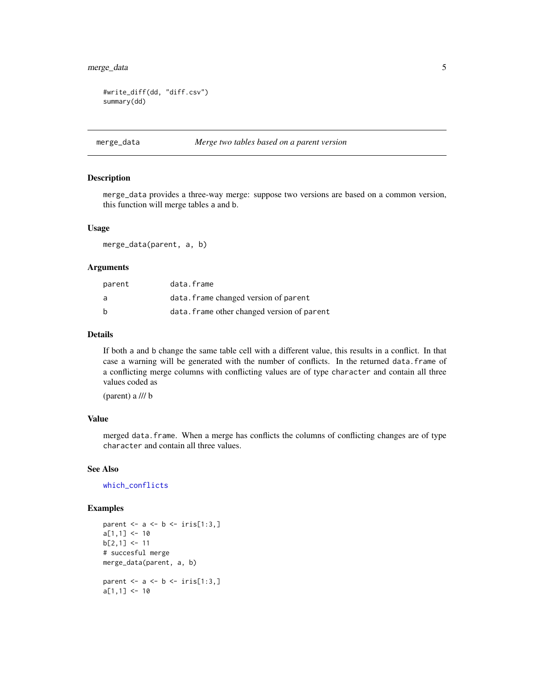#### <span id="page-4-0"></span>merge\_data 5

```
#write_diff(dd, "diff.csv")
summary(dd)
```
#### <span id="page-4-1"></span>merge\_data *Merge two tables based on a parent version*

#### Description

merge\_data provides a three-way merge: suppose two versions are based on a common version, this function will merge tables a and b.

#### Usage

merge\_data(parent, a, b)

#### Arguments

| parent | data.frame                                  |
|--------|---------------------------------------------|
| a      | data. frame changed version of parent       |
| b      | data. frame other changed version of parent |

#### Details

If both a and b change the same table cell with a different value, this results in a conflict. In that case a warning will be generated with the number of conflicts. In the returned data.frame of a conflicting merge columns with conflicting values are of type character and contain all three values coded as

(parent) a /// b

#### Value

merged data.frame. When a merge has conflicts the columns of conflicting changes are of type character and contain all three values.

#### See Also

[which\\_conflicts](#page-7-1)

```
parent \leq - a \leq - b \leq iris[1:3,]
a[1,1] <- 10
b[2,1] <- 11
# succesful merge
merge_data(parent, a, b)
parent \leq a \leq b \leq iris[1:3,]
a[1,1] <- 10
```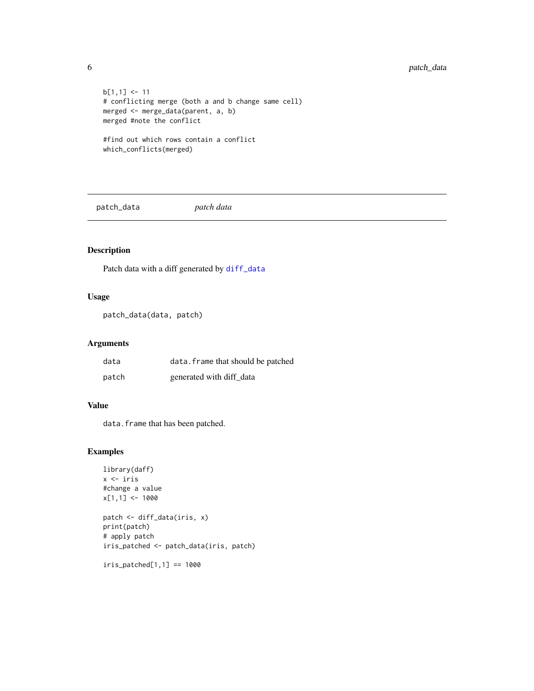```
b[1,1] <- 11
# conflicting merge (both a and b change same cell)
merged <- merge_data(parent, a, b)
merged #note the conflict
#find out which rows contain a conflict
which_conflicts(merged)
```
<span id="page-5-1"></span>patch\_data *patch data*

#### Description

Patch data with a diff generated by [diff\\_data](#page-2-1)

#### Usage

```
patch_data(data, patch)
```
#### Arguments

| data  | data. frame that should be patched |
|-------|------------------------------------|
| patch | generated with diff data           |

#### Value

data.frame that has been patched.

#### Examples

```
library(daff)
x <- iris
#change a value
x[1,1] <- 1000
patch <- diff_data(iris, x)
print(patch)
# apply patch
iris_patched <- patch_data(iris, patch)
```
iris\_patched[1,1] == 1000

<span id="page-5-0"></span>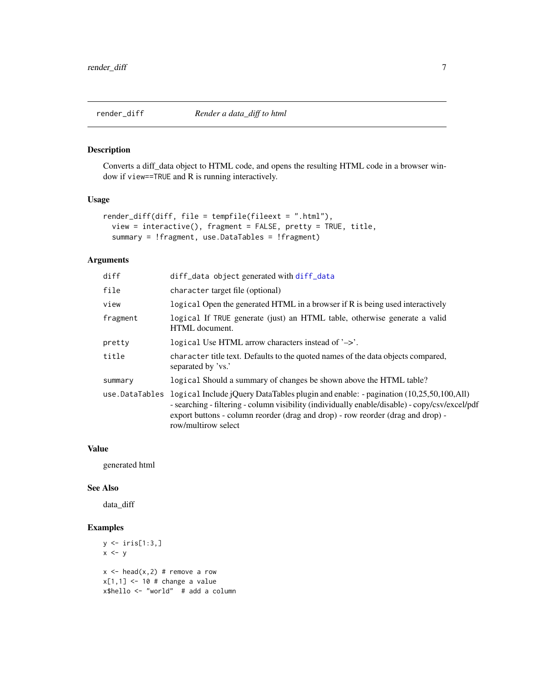#### <span id="page-6-1"></span><span id="page-6-0"></span>Description

Converts a diff\_data object to HTML code, and opens the resulting HTML code in a browser window if view==TRUE and R is running interactively.

#### Usage

```
render_diff(diff, file = tempfile(fileext = ".html"),
 view = interactive(), fragment = FALSE, pretty = TRUE, title,
  summary = !fragment, use.DataTables = !fragment)
```
#### Arguments

| diff_data object generated with diff_data                                                                                                                                                                                                                                                                              |  |
|------------------------------------------------------------------------------------------------------------------------------------------------------------------------------------------------------------------------------------------------------------------------------------------------------------------------|--|
| character target file (optional)                                                                                                                                                                                                                                                                                       |  |
| logical Open the generated HTML in a browser if R is being used interactively                                                                                                                                                                                                                                          |  |
| logical If TRUE generate (just) an HTML table, otherwise generate a valid<br>HTML document.                                                                                                                                                                                                                            |  |
| logical Use HTML arrow characters instead of $\rightarrow$ .                                                                                                                                                                                                                                                           |  |
| character title text. Defaults to the quoted names of the data objects compared,<br>separated by 'vs.'                                                                                                                                                                                                                 |  |
| logical Should a summary of changes be shown above the HTML table?                                                                                                                                                                                                                                                     |  |
| use. DataTables logical Include $i$ Query DataTables plugin and enable: - pagination $(10,25,50,100,$ All)<br>- searching - filtering - column visibility (individually enable/disable) - copy/csv/excel/pdf<br>export buttons - column reorder (drag and drop) - row reorder (drag and drop) -<br>row/multirow select |  |
|                                                                                                                                                                                                                                                                                                                        |  |

#### Value

generated html

#### See Also

data\_diff

```
y \leftarrow \text{iris}[1:3,]x \leftarrow yx \le - head(x,2) # remove a row
x[1,1] <- 10 # change a value
x$hello <- "world" # add a column
```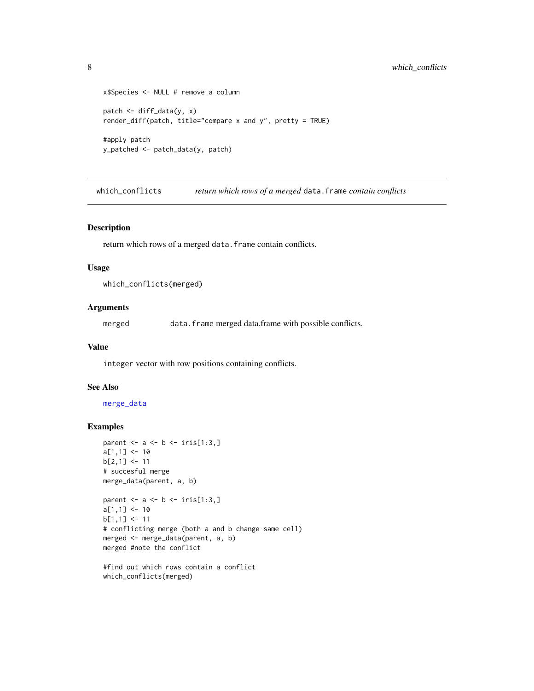```
x$Species <- NULL # remove a column
patch <- diff_data(y, x)
render_diff(patch, title="compare x and y", pretty = TRUE)
#apply patch
y_patched <- patch_data(y, patch)
```
<span id="page-7-1"></span>which\_conflicts *return which rows of a merged* data.frame *contain conflicts*

#### Description

return which rows of a merged data.frame contain conflicts.

#### Usage

```
which_conflicts(merged)
```
#### Arguments

merged data.frame merged data.frame with possible conflicts.

#### Value

integer vector with row positions containing conflicts.

#### See Also

[merge\\_data](#page-4-1)

```
parent \leq - a \leq - b \leq iris[1:3,]
a[1,1] <- 10
b[2,1] <- 11
# succesful merge
merge_data(parent, a, b)
```

```
parent \leq a \leq b \leq iris[1:3,]
a[1,1] <- 10
b[1,1] <- 11
# conflicting merge (both a and b change same cell)
merged <- merge_data(parent, a, b)
merged #note the conflict
```

```
#find out which rows contain a conflict
which_conflicts(merged)
```
<span id="page-7-0"></span>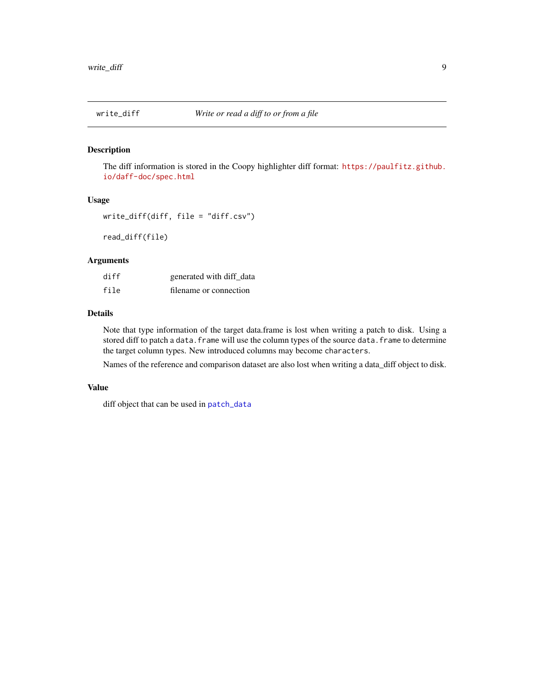<span id="page-8-1"></span><span id="page-8-0"></span>

#### Description

The diff information is stored in the Coopy highlighter diff format: [https://paulfitz.github.](https://paulfitz.github.io/daff-doc/spec.html) [io/daff-doc/spec.html](https://paulfitz.github.io/daff-doc/spec.html)

#### Usage

```
write_diff(diff, file = "diff.csv")
```
read\_diff(file)

#### Arguments

| diff | generated with diff data |
|------|--------------------------|
| file | filename or connection   |

#### Details

Note that type information of the target data.frame is lost when writing a patch to disk. Using a stored diff to patch a data. frame will use the column types of the source data. frame to determine the target column types. New introduced columns may become characters.

Names of the reference and comparison dataset are also lost when writing a data\_diff object to disk.

#### Value

diff object that can be used in [patch\\_data](#page-5-1)